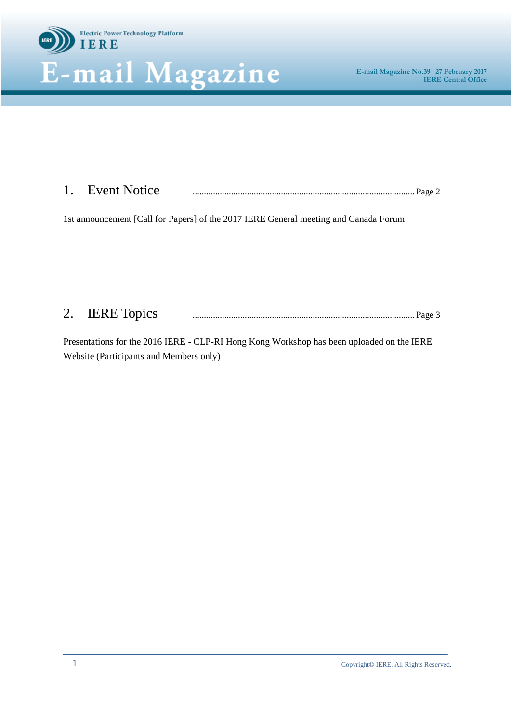

# 1. Event Notice .................................................................................................. Page 2

1st announcement [Call for Papers] of the 2017 IERE General meeting and Canada Forum

### 2. IERE Topics .................................................................................................. Page 3

Presentations for the 2016 IERE - CLP-RI Hong Kong Workshop has been uploaded on the IERE Website (Participants and Members only)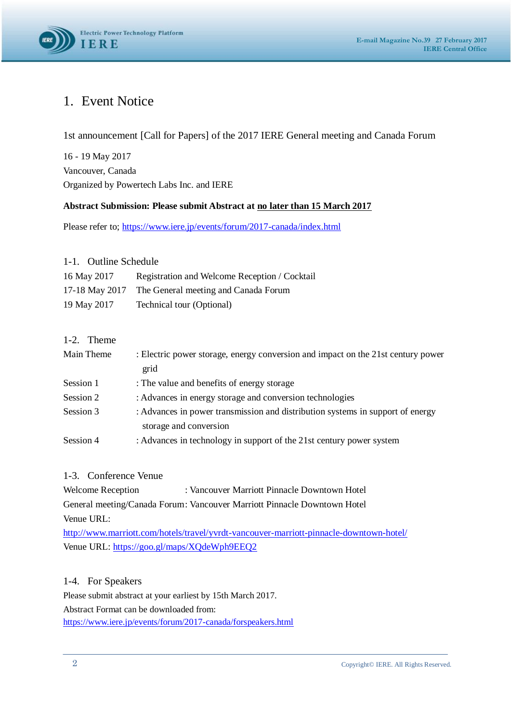

### 1. Event Notice

1st announcement [Call for Papers] of the 2017 IERE General meeting and Canada Forum

16 - 19 May 2017 Vancouver, Canada Organized by Powertech Labs Inc. and IERE

#### **Abstract Submission: Please submit Abstract at no later than 15 March 2017**

Please refer to;<https://www.iere.jp/events/forum/2017-canada/index.html>

#### 1-1. Outline Schedule

| 16 May 2017 | Registration and Welcome Reception / Cocktail       |
|-------------|-----------------------------------------------------|
|             | 17-18 May 2017 The General meeting and Canada Forum |
| 19 May 2017 | Technical tour (Optional)                           |

#### 1-2. Theme

| Main Theme | : Electric power storage, energy conversion and impact on the 21st century power |
|------------|----------------------------------------------------------------------------------|
|            | grid                                                                             |
| Session 1  | : The value and benefits of energy storage                                       |
| Session 2  | : Advances in energy storage and conversion technologies                         |
| Session 3  | : Advances in power transmission and distribution systems in support of energy   |
|            | storage and conversion                                                           |
| Session 4  | : Advances in technology in support of the 21st century power system             |

#### 1-3. Conference Venue

Welcome Reception : Vancouver Marriott Pinnacle Downtown Hotel General meeting/Canada Forum: Vancouver Marriott Pinnacle Downtown Hotel Venue URL:

<http://www.marriott.com/hotels/travel/yvrdt-vancouver-marriott-pinnacle-downtown-hotel/> Venue URL:<https://goo.gl/maps/XQdeWph9EEQ2>

#### 1-4. For Speakers

Please submit abstract at your earliest by 15th March 2017. Abstract Format can be downloaded from: <https://www.iere.jp/events/forum/2017-canada/forspeakers.html>